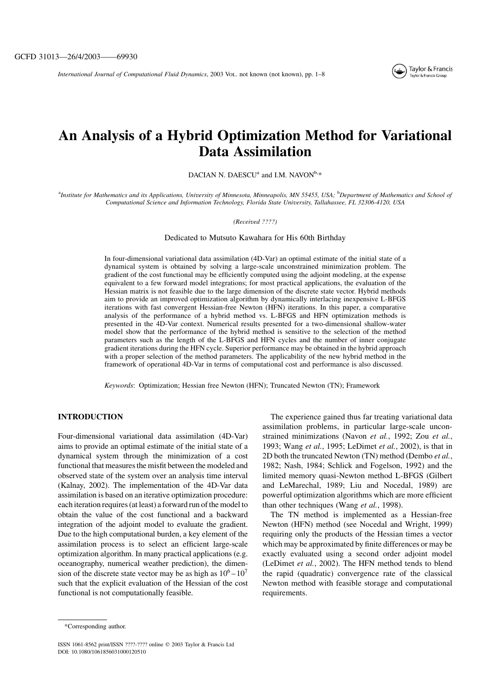International Journal of Computational Fluid Dynamics, 2003 Vol. not known (not known), pp. 1–8



# An Analysis of a Hybrid Optimization Method for Variational Data Assimilation

DACIAN N. DAESCU<sup>a</sup> and I.M. NAVON<sup>b,\*</sup>

<sup>a</sup>Institute for Mathematics and its Applications, University of Minnesota, Minneapolis, MN 55455, USA; <sup>b</sup>Department of Mathematics and School of Computational Science and Information Technology, Florida State University, Tallahassee, FL 32306-4120, USA

(Received ????)

#### Dedicated to Mutsuto Kawahara for His 60th Birthday

In four-dimensional variational data assimilation (4D-Var) an optimal estimate of the initial state of a dynamical system is obtained by solving a large-scale unconstrained minimization problem. The gradient of the cost functional may be efficiently computed using the adjoint modeling, at the expense equivalent to a few forward model integrations; for most practical applications, the evaluation of the Hessian matrix is not feasible due to the large dimension of the discrete state vector. Hybrid methods aim to provide an improved optimization algorithm by dynamically interlacing inexpensive L-BFGS iterations with fast convergent Hessian-free Newton (HFN) iterations. In this paper, a comparative analysis of the performance of a hybrid method vs. L-BFGS and HFN optimization methods is presented in the 4D-Var context. Numerical results presented for a two-dimensional shallow-water model show that the performance of the hybrid method is sensitive to the selection of the method parameters such as the length of the L-BFGS and HFN cycles and the number of inner conjugate gradient iterations during the HFN cycle. Superior performance may be obtained in the hybrid approach with a proper selection of the method parameters. The applicability of the new hybrid method in the framework of operational 4D-Var in terms of computational cost and performance is also discussed.

Keywords: Optimization; Hessian free Newton (HFN); Truncated Newton (TN); Framework

# INTRODUCTION

Four-dimensional variational data assimilation (4D-Var) aims to provide an optimal estimate of the initial state of a dynamical system through the minimization of a cost functional that measures the misfit between the modeled and observed state of the system over an analysis time interval (Kalnay, 2002). The implementation of the 4D-Var data assimilation is based on an iterative optimization procedure: each iteration requires (at least) a forward run of the model to obtain the value of the cost functional and a backward integration of the adjoint model to evaluate the gradient. Due to the high computational burden, a key element of the assimilation process is to select an efficient large-scale optimization algorithm. In many practical applications (e.g. oceanography, numerical weather prediction), the dimension of the discrete state vector may be as high as  $10^6 - 10^7$ such that the explicit evaluation of the Hessian of the cost functional is not computationally feasible.

The experience gained thus far treating variational data assimilation problems, in particular large-scale unconstrained minimizations (Navon et al., 1992; Zou et al., 1993; Wang et al., 1995; LeDimet et al., 2002), is that in 2D both the truncated Newton (TN) method (Dembo et al., 1982; Nash, 1984; Schlick and Fogelson, 1992) and the limited memory quasi-Newton method L-BFGS (Gilbert and LeMarechal, 1989; Liu and Nocedal, 1989) are powerful optimization algorithms which are more efficient than other techniques (Wang et al., 1998).

The TN method is implemented as a Hessian-free Newton (HFN) method (see Nocedal and Wright, 1999) requiring only the products of the Hessian times a vector which may be approximated by finite differences or may be exactly evaluated using a second order adjoint model (LeDimet et al., 2002). The HFN method tends to blend the rapid (quadratic) convergence rate of the classical Newton method with feasible storage and computational requirements.

<sup>\*</sup>Corresponding author.

ISSN 1061-8562 print/ISSN ????-???? online q 2003 Taylor & Francis Ltd DOI: 10.1080/1061856031000120510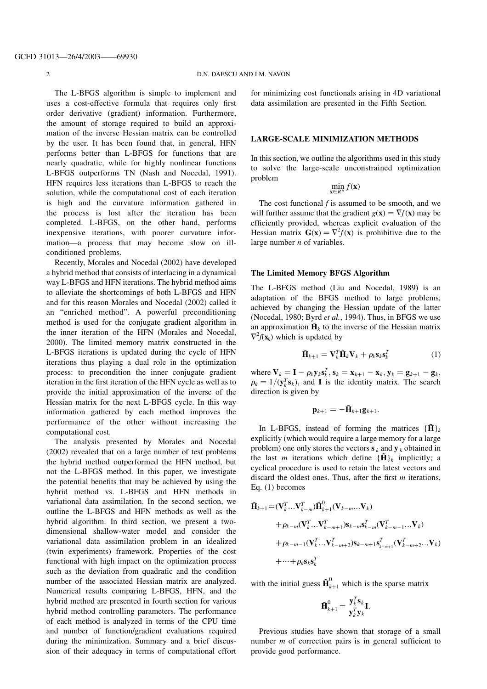The L-BFGS algorithm is simple to implement and uses a cost-effective formula that requires only first order derivative (gradient) information. Furthermore, the amount of storage required to build an approximation of the inverse Hessian matrix can be controlled by the user. It has been found that, in general, HFN performs better than L-BFGS for functions that are nearly quadratic, while for highly nonlinear functions L-BFGS outperforms TN (Nash and Nocedal, 1991). HFN requires less iterations than L-BFGS to reach the solution, while the computational cost of each iteration is high and the curvature information gathered in the process is lost after the iteration has been completed. L-BFGS, on the other hand, performs inexpensive iterations, with poorer curvature information—a process that may become slow on illconditioned problems.

Recently, Morales and Nocedal (2002) have developed a hybrid method that consists of interlacing in a dynamical way L-BFGS and HFN iterations. The hybrid method aims to alleviate the shortcomings of both L-BFGS and HFN and for this reason Morales and Nocedal (2002) called it an "enriched method". A powerful preconditioning method is used for the conjugate gradient algorithm in the inner iteration of the HFN (Morales and Nocedal, 2000). The limited memory matrix constructed in the L-BFGS iterations is updated during the cycle of HFN iterations thus playing a dual role in the optimization process: to precondition the inner conjugate gradient iteration in the first iteration of the HFN cycle as well as to provide the initial approximation of the inverse of the Hessian matrix for the next L-BFGS cycle. In this way information gathered by each method improves the performance of the other without increasing the computational cost.

The analysis presented by Morales and Nocedal (2002) revealed that on a large number of test problems the hybrid method outperformed the HFN method, but not the L-BFGS method. In this paper, we investigate the potential benefits that may be achieved by using the hybrid method vs. L-BFGS and HFN methods in variational data assimilation. In the second section, we outline the L-BFGS and HFN methods as well as the hybrid algorithm. In third section, we present a twodimensional shallow-water model and consider the variational data assimilation problem in an idealized (twin experiments) framework. Properties of the cost functional with high impact on the optimization process such as the deviation from quadratic and the condition number of the associated Hessian matrix are analyzed. Numerical results comparing L-BFGS, HFN, and the hybrid method are presented in fourth section for various hybrid method controlling parameters. The performance of each method is analyzed in terms of the CPU time and number of function/gradient evaluations required during the minimization. Summary and a brief discussion of their adequacy in terms of computational effort for minimizing cost functionals arising in 4D variational data assimilation are presented in the Fifth Section.

# LARGE-SCALE MINIMIZATION METHODS

In this section, we outline the algorithms used in this study to solve the large-scale unconstrained optimization problem

 $\min_{\mathbf{x} \in R^n} f(\mathbf{x})$ 

The cost functional  $f$  is assumed to be smooth, and we will further assume that the gradient  $g(\mathbf{x}) = \nabla f(\mathbf{x})$  may be efficiently provided, whereas explicit evaluation of the Hessian matrix  $G(x) = \nabla^2 f(x)$  is prohibitive due to the large number  $n$  of variables.

## The Limited Memory BFGS Algorithm

The L-BFGS method (Liu and Nocedal, 1989) is an adaptation of the BFGS method to large problems, achieved by changing the Hessian update of the latter (Nocedal, 1980; Byrd et al., 1994). Thus, in BFGS we use an approximation  $\tilde{H}_{k}$  to the inverse of the Hessian matrix  $\nabla^2 f(\mathbf{x}_k)$  which is updated by

$$
\tilde{\mathbf{H}}_{k+1} = \mathbf{V}_k^T \tilde{\mathbf{H}}_k \mathbf{V}_k + \rho_k \mathbf{s}_k \mathbf{s}_k^T
$$
 (1)

where  $\mathbf{V}_k = \mathbf{I} - \rho_k \mathbf{y}_k \mathbf{s}_k^T$ ,  $\mathbf{s}_k = \mathbf{x}_{k+1} - \mathbf{x}_k$ ,  $\mathbf{y}_k = \mathbf{g}_{k+1} - \mathbf{g}_k$ ,  $\rho_k = 1/(\mathbf{y}_k^T \mathbf{s}_k)$ , and **I** is the identity matrix. The search direction is given by

$$
\mathbf{p}_{k+1}=-\tilde{\mathbf{H}}_{k+1}\mathbf{g}_{k+1}.
$$

In L-BFGS, instead of forming the matrices  $\{\tilde{H}\}_k$ explicitly (which would require a large memory for a large problem) one only stores the vectors  $s_k$  and  $y_k$  obtained in the last m iterations which define  ${\{\tilde{\mathbf{H}}\}_k}$  implicitly; a cyclical procedure is used to retain the latest vectors and discard the oldest ones. Thus, after the first  $m$  iterations, Eq. (1) becomes

$$
\tilde{\mathbf{H}}_{k+1} = (\mathbf{V}_{k}^{T} \dots \mathbf{V}_{k-m}^{T}) \tilde{\mathbf{H}}_{k+1}^{0} (\mathbf{V}_{k-m} \dots \mathbf{V}_{k}) \n+ \rho_{k-m} (\mathbf{V}_{k}^{T} \dots \mathbf{V}_{k-m+1}^{T}) \mathbf{s}_{k-m} \mathbf{s}_{k-m}^{T} (\mathbf{V}_{k-m-1}^{T} \dots \mathbf{V}_{k}) \n+ \rho_{k-m-1} (\mathbf{V}_{k}^{T} \dots \mathbf{V}_{k-m+2}^{T}) \mathbf{s}_{k-m+1} \mathbf{s}_{k-m+1}^{T} (\mathbf{V}_{k-m+2}^{T} \dots \mathbf{V}_{k}) \n+ \dots + \rho_{k} \mathbf{s}_{k} \mathbf{s}_{k}^{T}
$$

with the initial guess  $\tilde{\mathbf{H}}_{k+1}^{0}$  which is the sparse matrix

$$
\tilde{\mathbf{H}}_{k+1}^0 = \frac{\mathbf{y}_k^T \mathbf{s}_k}{\mathbf{y}_k^T \mathbf{y}_k} \mathbf{I}.
$$

Previous studies have shown that storage of a small number  $m$  of correction pairs is in general sufficient to provide good performance.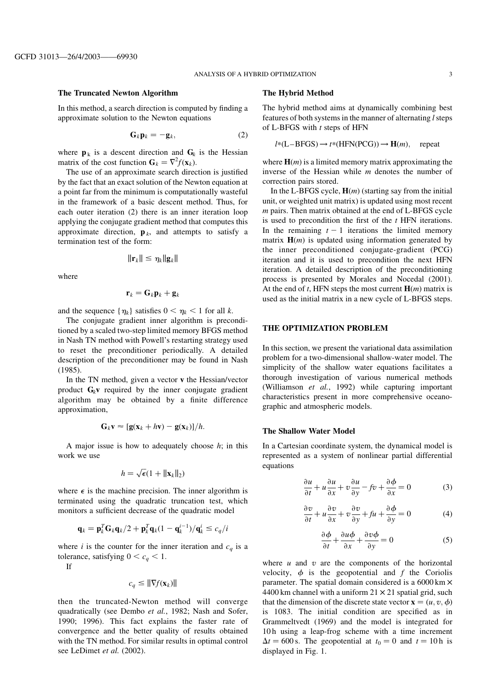## The Truncated Newton Algorithm

In this method, a search direction is computed by finding a approximate solution to the Newton equations

$$
\mathbf{G}_k \mathbf{p}_k = -\mathbf{g}_k,\tag{2}
$$

where  $p_k$  is a descent direction and  $G_k$  is the Hessian matrix of the cost function  $\mathbf{G}_k = \nabla^2 f(\mathbf{x}_k)$ .

The use of an approximate search direction is justified by the fact that an exact solution of the Newton equation at a point far from the minimum is computationally wasteful in the framework of a basic descent method. Thus, for each outer iteration (2) there is an inner iteration loop applying the conjugate gradient method that computes this approximate direction,  $\mathbf{p}_k$ , and attempts to satisfy a termination test of the form:

$$
\|\mathbf{r}_k\| \leq \eta_k \|\mathbf{g}_k\|
$$

where

$$
\mathbf{r}_k = \mathbf{G}_k \mathbf{p}_k + \mathbf{g}_k
$$

and the sequence  $\{\eta_k\}$  satisfies  $0 < \eta_k < 1$  for all k.

The conjugate gradient inner algorithm is preconditioned by a scaled two-step limited memory BFGS method in Nash TN method with Powell's restarting strategy used to reset the preconditioner periodically. A detailed description of the preconditioner may be found in Nash (1985).

In the TN method, given a vector v the Hessian/vector product  $G_k$  required by the inner conjugate gradient algorithm may be obtained by a finite difference approximation,

$$
\mathbf{G}_k \mathbf{v} \approx [\mathbf{g}(\mathbf{x}_k + h\mathbf{v}) - \mathbf{g}(\mathbf{x}_k)]/h.
$$

A major issue is how to adequately choose  $h$ ; in this work we use

$$
h = \sqrt{\epsilon}(1 + ||\mathbf{x}_k||_2)
$$

where  $\epsilon$  is the machine precision. The inner algorithm is terminated using the quadratic truncation test, which monitors a sufficient decrease of the quadratic model

$$
\mathbf{q}_k = \mathbf{p}_k^T \mathbf{G}_k \mathbf{q}_k / 2 + \mathbf{p}_k^T \mathbf{q}_k (1 - \mathbf{q}_k^{i-1}) / \mathbf{q}_k^i \le c_q / i
$$

where i is the counter for the inner iteration and  $c<sub>a</sub>$  is a tolerance, satisfying  $0 < c_q < 1$ .

If

$$
c_q \leq \|\nabla f(\mathbf{x}_k)\|
$$

then the truncated-Newton method will converge quadratically (see Dembo et al., 1982; Nash and Sofer, 1990; 1996). This fact explains the faster rate of convergence and the better quality of results obtained with the TN method. For similar results in optimal control see LeDimet et al. (2002).

## The Hybrid Method

The hybrid method aims at dynamically combining best features of both systems in the manner of alternating  $l$  steps of L-BFGS with  $t$  steps of HFN

 $l*(L-BFGS) \rightarrow t*(HFN(PCG)) \rightarrow H(m)$ , repeat

where  $H(m)$  is a limited memory matrix approximating the inverse of the Hessian while m denotes the number of correction pairs stored.

In the L-BFGS cycle,  $H(m)$  (starting say from the initial unit, or weighted unit matrix) is updated using most recent m pairs. Then matrix obtained at the end of L-BFGS cycle is used to precondition the first of the  $t$  HFN iterations. In the remaining  $t - 1$  iterations the limited memory matrix  $\mathbf{H}(m)$  is updated using information generated by the inner preconditioned conjugate-gradient (PCG) iteration and it is used to precondition the next HFN iteration. A detailed description of the preconditioning process is presented by Morales and Nocedal (2001). At the end of t, HFN steps the most current  $H(m)$  matrix is used as the initial matrix in a new cycle of L-BFGS steps.

## THE OPTIMIZATION PROBLEM

In this section, we present the variational data assimilation problem for a two-dimensional shallow-water model. The simplicity of the shallow water equations facilitates a thorough investigation of various numerical methods (Williamson et al., 1992) while capturing important characteristics present in more comprehensive oceanographic and atmospheric models.

#### The Shallow Water Model

In a Cartesian coordinate system, the dynamical model is represented as a system of nonlinear partial differential equations

$$
\frac{\partial u}{\partial t} + u \frac{\partial u}{\partial x} + v \frac{\partial u}{\partial y} - fv + \frac{\partial \phi}{\partial x} = 0
$$
 (3)

$$
\frac{\partial v}{\partial t} + u \frac{\partial v}{\partial x} + v \frac{\partial v}{\partial y} + fu + \frac{\partial \phi}{\partial y} = 0
$$
 (4)

$$
\frac{\partial \phi}{\partial t} + \frac{\partial u \phi}{\partial x} + \frac{\partial v \phi}{\partial y} = 0
$$
 (5)

where  $u$  and  $v$  are the components of the horizontal velocity,  $\phi$  is the geopotential and f the Coriolis parameter. The spatial domain considered is a  $6000 \text{ km} \times$ 4400 km channel with a uniform  $21 \times 21$  spatial grid, such that the dimension of the discrete state vector  $\mathbf{x} = (u, v, \phi)$ is 1083. The initial condition are specified as in Grammeltvedt (1969) and the model is integrated for 10 h using a leap-frog scheme with a time increment  $\Delta t = 600$  s. The geopotential at  $t_0 = 0$  and  $t = 10$  h is displayed in Fig. 1.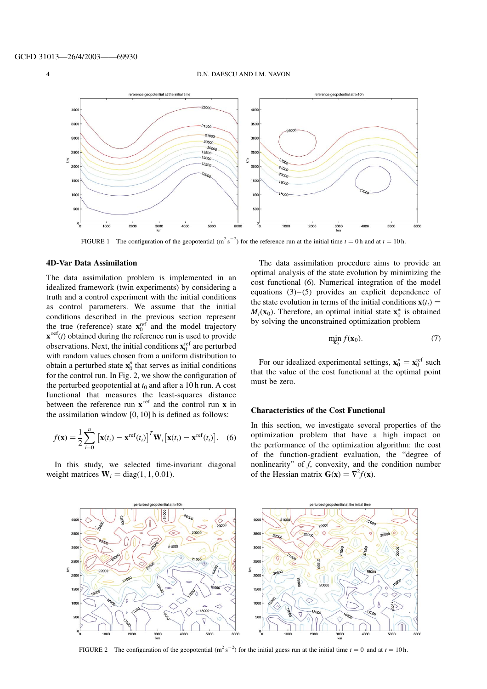#### 4 D.N. DAESCU AND I.M. NAVON



FIGURE 1 The configuration of the geopotential ( $m^2 s^{-2}$ ) for the reference run at the initial time  $t = 0$  h and at  $t = 10$  h.

# 4D-Var Data Assimilation

The data assimilation problem is implemented in an idealized framework (twin experiments) by considering a truth and a control experiment with the initial conditions as control parameters. We assume that the initial conditions described in the previous section represent the true (reference) state  $\mathbf{x}_0^{\text{ref}}$  and the model trajectory  $\mathbf{x}^{\text{ref}}(t)$  obtained during the reference run is used to provide observations. Next, the initial conditions  $\mathbf{x}_0^{\text{ref}}$  are perturbed with random values chosen from a uniform distribution to obtain a perturbed state  $\mathbf{x}_0^p$  that serves as initial conditions for the control run. In Fig. 2, we show the configuration of the perturbed geopotential at  $t_0$  and after a 10 h run. A cost functional that measures the least-squares distance between the reference run  $x^{ref}$  and the control run  $x$  in the assimilation window  $[0, 10]$  h is defined as follows:

$$
f(\mathbf{x}) = \frac{1}{2} \sum_{i=0}^{n} \left[ \mathbf{x}(t_i) - \mathbf{x}^{\text{ref}}(t_i) \right]^T \mathbf{W}_i \left[ \mathbf{x}(t_i) - \mathbf{x}^{\text{ref}}(t_i) \right]. \quad (6)
$$

In this study, we selected time-invariant diagonal weight matrices  $W_i = diag(1, 1, 0.01)$ .

The data assimilation procedure aims to provide an optimal analysis of the state evolution by minimizing the cost functional (6). Numerical integration of the model equations (3)–(5) provides an explicit dependence of the state evolution in terms of the initial conditions  $\mathbf{x}(t_i) =$  $M_i(\mathbf{x}_0)$ . Therefore, an optimal initial state  $\mathbf{x}_0^*$  is obtained by solving the unconstrained optimization problem

$$
\min_{\mathbf{x}_0} f(\mathbf{x}_0). \tag{7}
$$

For our idealized experimental settings,  $\mathbf{x}_0^* = \mathbf{x}_0^{\text{ref}}$  such that the value of the cost functional at the optimal point must be zero.

### Characteristics of the Cost Functional

In this section, we investigate several properties of the optimization problem that have a high impact on the performance of the optimization algorithm: the cost of the function-gradient evaluation, the "degree of nonlinearity" of f, convexity, and the condition number of the Hessian matrix  $\mathbf{G}(\mathbf{x}) = \nabla^2 f(\mathbf{x})$ .



FIGURE 2 The configuration of the geopotential (m<sup>2</sup> s<sup>-2</sup>) for the initial guess run at the initial time  $t = 0$  and at  $t = 10$  h.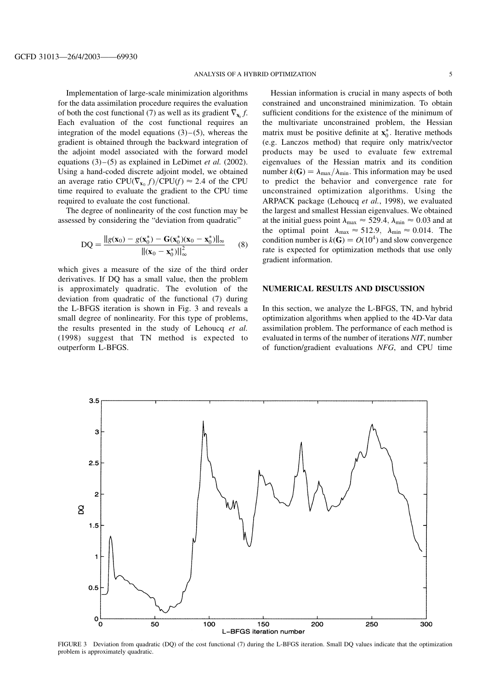Implementation of large-scale minimization algorithms for the data assimilation procedure requires the evaluation of both the cost functional (7) as well as its gradient  $\nabla_{\mathbf{x}} f$ . Each evaluation of the cost functional requires an integration of the model equations  $(3)$ – $(5)$ , whereas the gradient is obtained through the backward integration of the adjoint model associated with the forward model equations  $(3)$ – $(5)$  as explained in LeDimet *et al.*  $(2002)$ . Using a hand-coded discrete adjoint model, we obtained an average ratio CPU( $\nabla_{\mathbf{x}_0} f$ )/CPU( $f$ )  $\approx$  2.4 of the CPU time required to evaluate the gradient to the CPU time required to evaluate the cost functional.

The degree of nonlinearity of the cost function may be assessed by considering the "deviation from quadratic"

$$
DQ = \frac{||g(\mathbf{x}_0) - g(\mathbf{x}_0^*) - \mathbf{G}(\mathbf{x}_0^*)(\mathbf{x}_0 - \mathbf{x}_0^*)||_{\infty}^2}{||(\mathbf{x}_0 - \mathbf{x}_0^*)||_{\infty}^2}
$$
 (8)

which gives a measure of the size of the third order derivatives. If DQ has a small value, then the problem is approximately quadratic. The evolution of the deviation from quadratic of the functional (7) during the L-BFGS iteration is shown in Fig. 3 and reveals a small degree of nonlinearity. For this type of problems, the results presented in the study of Lehoucq et al. (1998) suggest that TN method is expected to outperform L-BFGS.

Hessian information is crucial in many aspects of both constrained and unconstrained minimization. To obtain sufficient conditions for the existence of the minimum of the multivariate unconstrained problem, the Hessian matrix must be positive definite at  $\mathbf{x}_0^*$ . Iterative methods (e.g. Lanczos method) that require only matrix/vector products may be used to evaluate few extremal eigenvalues of the Hessian matrix and its condition number  $k(G) = \lambda_{\text{max}}/\lambda_{\text{min}}$ . This information may be used to predict the behavior and convergence rate for unconstrained optimization algorithms. Using the ARPACK package (Lehoucq et al., 1998), we evaluated the largest and smallest Hessian eigenvalues. We obtained at the initial guess point  $\lambda_{\text{max}} \approx 529.4$ ,  $\lambda_{\text{min}} \approx 0.03$  and at the optimal point  $\lambda_{\text{max}} \approx 512.9$ ,  $\lambda_{\text{min}} \approx 0.014$ . The condition number is  $k(\mathbf{G}) = O(10^4)$  and slow convergence rate is expected for optimization methods that use only gradient information.

#### NUMERICAL RESULTS AND DISCUSSION

In this section, we analyze the L-BFGS, TN, and hybrid optimization algorithms when applied to the 4D-Var data assimilation problem. The performance of each method is evaluated in terms of the number of iterations NIT, number of function/gradient evaluations NFG, and CPU time



FIGURE 3 Deviation from quadratic (DQ) of the cost functional (7) during the L-BFGS iteration. Small DQ values indicate that the optimization problem is approximately quadratic.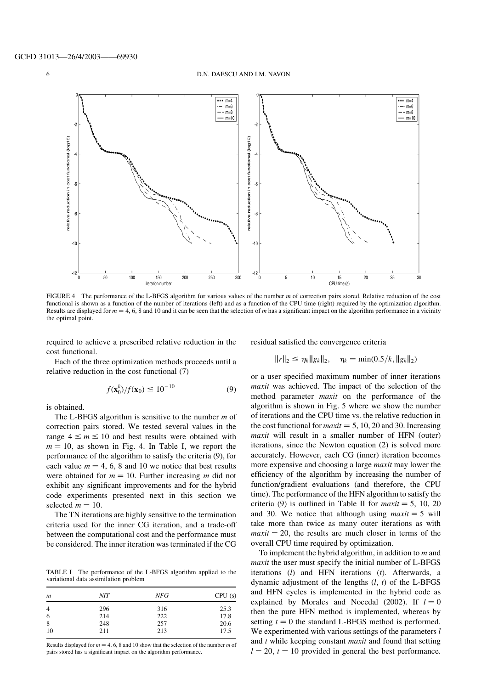

FIGURE 4 The performance of the L-BFGS algorithm for various values of the number m of correction pairs stored. Relative reduction of the cost functional is shown as a function of the number of iterations (left) and as a function of the CPU time (right) required by the optimization algorithm. Results are displayed for  $m = 4, 6, 8$  and 10 and it can be seen that the selection of m has a significant impact on the algorithm performance in a vicinity the optimal point.

required to achieve a prescribed relative reduction in the cost functional.

residual satisfied the convergence criteria

Each of the three optimization methods proceeds until a relative reduction in the cost functional (7)

$$
f(\mathbf{x}_0^k)/f(\mathbf{x}_0) \le 10^{-10}
$$
 (9)

is obtained.

The L-BFGS algorithm is sensitive to the number  $m$  of correction pairs stored. We tested several values in the range  $4 \le m \le 10$  and best results were obtained with  $m = 10$ , as shown in Fig. 4. In Table I, we report the performance of the algorithm to satisfy the criteria (9), for each value  $m = 4, 6, 8$  and 10 we notice that best results were obtained for  $m = 10$ . Further increasing m did not exhibit any significant improvements and for the hybrid code experiments presented next in this section we selected  $m = 10$ .

The TN iterations are highly sensitive to the termination criteria used for the inner CG iteration, and a trade-off between the computational cost and the performance must be considered. The inner iteration was terminated if the CG

TABLE I The performance of the L-BFGS algorithm applied to the variational data assimilation problem

| m              | NIT | NFG | CPU(s) |
|----------------|-----|-----|--------|
| $\overline{4}$ | 296 | 316 | 25.3   |
| 6              | 214 | 222 | 17.8   |
| 8              | 248 | 257 | 20.6   |
| 10             | 211 | 213 | 17.5   |

Results displayed for  $m = 4, 6, 8$  and 10 show that the selection of the number m of pairs stored has a significant impact on the algorithm performance.

or a user specified maximum number of inner iterations maxit was achieved. The impact of the selection of the method parameter maxit on the performance of the algorithm is shown in Fig. 5 where we show the number of iterations and the CPU time vs. the relative reduction in the cost functional for *maxit*  $= 5, 10, 20$  and 30. Increasing maxit will result in a smaller number of HFN (outer) iterations, since the Newton equation (2) is solved more accurately. However, each CG (inner) iteration becomes more expensive and choosing a large *maxit* may lower the efficiency of the algorithm by increasing the number of function/gradient evaluations (and therefore, the CPU time). The performance of the HFN algorithm to satisfy the criteria (9) is outlined in Table II for  $maxit = 5, 10, 20$ and 30. We notice that although using  $maxit = 5$  will take more than twice as many outer iterations as with  $maxit = 20$ , the results are much closer in terms of the overall CPU time required by optimization.

 $||r||_2 \leq \eta_k ||g_k||_2, \quad \eta_k = \min(0.5/k, ||g_k||_2)$ 

To implement the hybrid algorithm, in addition to  $m$  and maxit the user must specify the initial number of L-BFGS iterations  $(l)$  and HFN iterations  $(t)$ . Afterwards, a dynamic adjustment of the lengths  $(l, t)$  of the L-BFGS and HFN cycles is implemented in the hybrid code as explained by Morales and Nocedal (2002). If  $l = 0$ then the pure HFN method is implemented, whereas by setting  $t = 0$  the standard L-BFGS method is performed. We experimented with various settings of the parameters  $l$ and t while keeping constant *maxit* and found that setting  $l = 20$ ,  $t = 10$  provided in general the best performance.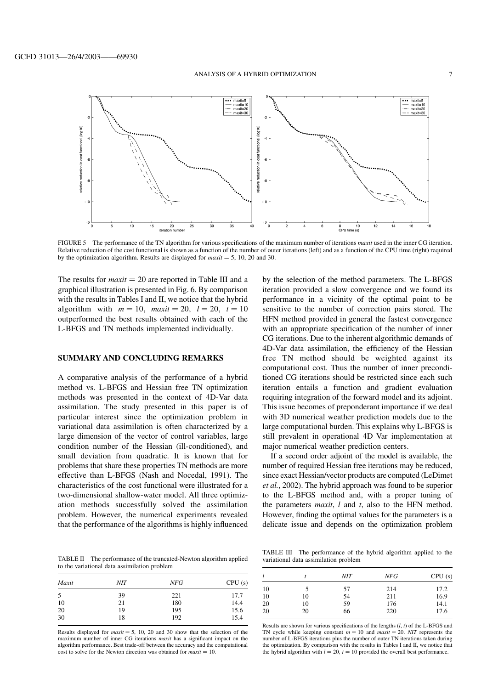

FIGURE 5 The performance of the TN algorithm for various specifications of the maximum number of iterations maxit used in the inner CG iteration. Relative reduction of the cost functional is shown as a function of the number of outer iterations (left) and as a function of the CPU time (right) required by the optimization algorithm. Results are displayed for  $maxit = 5$ , 10, 20 and 30.

The results for *maxit*  $= 20$  are reported in Table III and a graphical illustration is presented in Fig. 6. By comparison with the results in Tables I and II, we notice that the hybrid algorithm with  $m = 10$ ,  $maxit = 20$ ,  $l = 20$ ,  $t = 10$ outperformed the best results obtained with each of the L-BFGS and TN methods implemented individually.

## SUMMARY AND CONCLUDING REMARKS

A comparative analysis of the performance of a hybrid method vs. L-BFGS and Hessian free TN optimization methods was presented in the context of 4D-Var data assimilation. The study presented in this paper is of particular interest since the optimization problem in variational data assimilation is often characterized by a large dimension of the vector of control variables, large condition number of the Hessian (ill-conditioned), and small deviation from quadratic. It is known that for problems that share these properties TN methods are more effective than L-BFGS (Nash and Nocedal, 1991). The characteristics of the cost functional were illustrated for a two-dimensional shallow-water model. All three optimization methods successfully solved the assimilation problem. However, the numerical experiments revealed that the performance of the algorithms is highly influenced

TABLE II The performance of the truncated-Newton algorithm applied to the variational data assimilation problem

| Maxit | NIT | NFG | CPU(s) |
|-------|-----|-----|--------|
| 5     | 39  | 221 | 17.7   |
| 10    | 21  | 180 | 14.4   |
| 20    | 19  | 195 | 15.6   |
| 30    | 18  | 192 | 15.4   |

Results displayed for  $maxit = 5, 10, 20$  and 30 show that the selection of the maximum number of inner CG iterations *maxit* has a significant impact on the algorithm performance. Best trade-off between the accuracy and the computational cost to solve for the Newton direction was obtained for  $maxit = 10$ .

by the selection of the method parameters. The L-BFGS iteration provided a slow convergence and we found its performance in a vicinity of the optimal point to be sensitive to the number of correction pairs stored. The HFN method provided in general the fastest convergence with an appropriate specification of the number of inner CG iterations. Due to the inherent algorithmic demands of 4D-Var data assimilation, the efficiency of the Hessian free TN method should be weighted against its computational cost. Thus the number of inner preconditioned CG iterations should be restricted since each such iteration entails a function and gradient evaluation requiring integration of the forward model and its adjoint. This issue becomes of preponderant importance if we deal with 3D numerical weather prediction models due to the large computational burden. This explains why L-BFGS is still prevalent in operational 4D Var implementation at major numerical weather prediction centers.

If a second order adjoint of the model is available, the number of required Hessian free iterations may be reduced, since exact Hessian/vector products are computed (LeDimet et al., 2002). The hybrid approach was found to be superior to the L-BFGS method and, with a proper tuning of the parameters *maxit*,  $l$  and  $t$ , also to the HFN method. However, finding the optimal values for the parameters is a delicate issue and depends on the optimization problem

TABLE III The performance of the hybrid algorithm applied to the variational data assimilation problem

|    |    | NIT | NFG | CPU(s) |
|----|----|-----|-----|--------|
| 10 |    | 57  | 214 | 17.2   |
| 10 | 10 | 54  | 211 | 16.9   |
| 20 | 10 | 59  | 176 | 14.1   |
| 20 | 20 | 66  | 220 | 17.6   |

Results are shown for various specifications of the lengths  $(l, t)$  of the L-BFGS and TN cycle while keeping constant  $m = 10$  and  $maxit = 20$ . NIT represents the number of L-BFGS iterations plus the number of outer TN iterations taken during the optimization. By comparison with the results in Tables I and II, we notice that the hybrid algorithm with  $l = 20$ ,  $t = 10$  provided the overall best performance.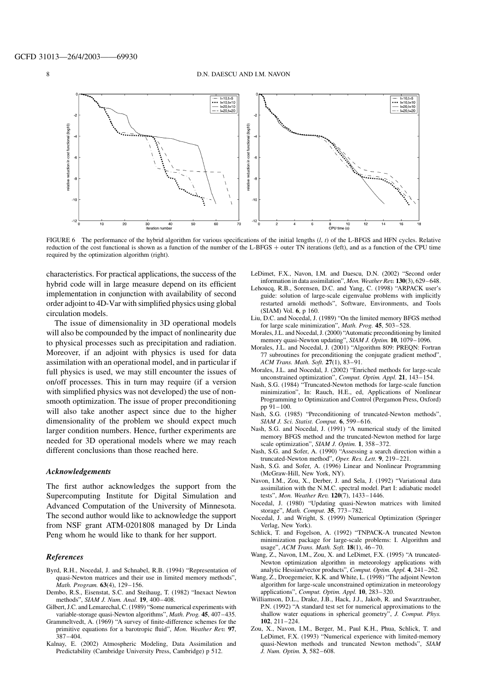

FIGURE 6 The performance of the hybrid algorithm for various specifications of the initial lengths  $(l, t)$  of the L-BFGS and HFN cycles. Relative reduction of the cost functional is shown as a function of the number of the L-BFGS + outer TN iterations (left), and as a function of the CPU time required by the optimization algorithm (right).

characteristics. For practical applications, the success of the hybrid code will in large measure depend on its efficient implementation in conjunction with availability of second order adjoint to 4D-Var with simplified physics using global circulation models.

The issue of dimensionality in 3D operational models will also be compounded by the impact of nonlinearity due to physical processes such as precipitation and radiation. Moreover, if an adjoint with physics is used for data assimilation with an operational model, and in particular if full physics is used, we may still encounter the issues of on/off processes. This in turn may require (if a version with simplified physics was not developed) the use of nonsmooth optimization. The issue of proper preconditioning will also take another aspect since due to the higher dimensionality of the problem we should expect much larger condition numbers. Hence, further experiments are needed for 3D operational models where we may reach different conclusions than those reached here.

## Acknowledgements

The first author acknowledges the support from the Supercomputing Institute for Digital Simulation and Advanced Computation of the University of Minnesota. The second author would like to acknowledge the support from NSF grant ATM-0201808 managed by Dr Linda Peng whom he would like to thank for her support.

#### References

- Byrd, R.H., Nocedal, J. and Schnabel, R.B. (1994) "Representation of quasi-Newton matrices and their use in limited memory methods", Math. Program. 63(4), 129–156.
- Dembo, R.S., Eisenstat, S.C. and Steihaug, T. (1982) "Inexact Newton methods", SIAM J. Num. Anal. 19, 400–408.
- Gilbert, J.C. and Lemarechal, C. (1989) "Some numerical experiments with variable-storage quasi-Newton algorithms", Math. Prog. 45, 407–435.
- Grammeltvedt, A. (1969) "A survey of finite-difference schemes for the primitive equations for a barotropic fluid", Mon. Weather Rev. 97, 387–404.
- Kalnay, E. (2002) Atmospheric Modeling, Data Assimilation and Predictability (Cambridge University Press, Cambridge) p 512.
- LeDimet, F.X., Navon, I.M. and Daescu, D.N. (2002) "Second order information in data assimilation", Mon. Weather Rev. 130(3), 629–648.
- Lehoucq, R.B., Sorensen, D.C. and Yang, C. (1998) "ARPACK user's guide: solution of large-scale eigenvalue problems with implicitly restarted arnoldi methods", Software, Environments, and Tools (SIAM) Vol. 6, p 160.
- Liu, D.C. and Nocedal, J. (1989) "On the limited memory BFGS method for large scale minimization", Math. Prog. 45, 503–528.
- Morales, J.L. and Nocedal, J. (2000) "Automatic preconditioning by limited memory quasi-Newton updating", SIAM J. Optim. 10, 1079-1096.
- Morales, J.L. and Nocedal, J. (2001) "Algorithm 809: PREQN: Fortran 77 subroutines for preconditioning the conjugate gradient method", ACM Trans. Math. Soft. 27(1), 83–91.
- Morales, J.L. and Nocedal, J. (2002) "Enriched methods for large-scale unconstrained optimization", Comput. Optim. Appl. 21, 143–154.
- Nash, S.G. (1984) "Truncated-Newton methods for large-scale function minimization", In: Rauch, H.E., ed, Applications of Nonlinear Programming to Optimization and Control (Pergamon Press, Oxford) pp 91–100.
- Nash, S.G. (1985) "Preconditioning of truncated-Newton methods", SIAM J. Sci. Statist. Comput. 6, 599–616.
- Nash, S.G. and Nocedal, J. (1991) "A numerical study of the limited memory BFGS method and the truncated-Newton method for large scale optimization", SIAM J. Optim. 1, 358–372.
- Nash, S.G. and Sofer, A. (1990) "Assessing a search direction within a truncated-Newton method", Oper. Res. Lett. 9, 219–221.
- Nash, S.G. and Sofer, A. (1996) Linear and Nonlinear Programming (McGraw-Hill, New York, NY).
- Navon, I.M., Zou, X., Derber, J. and Sela, J. (1992) "Variational data assimilation with the N.M.C. spectral model. Part I: adiabatic model tests", Mon. Weather Rev. 120(7), 1433-1446.
- Nocedal, J. (1980) "Updating quasi-Newton matrices with limited storage", Math. Comput. 35, 773-782.
- Nocedal, J. and Wright, S. (1999) Numerical Optimization (Springer Verlag, New York).
- Schlick, T. and Fogelson, A. (1992) "TNPACK-A truncated Newton minimization package for large-scale problems: I. Algorithm and usage", ACM Trans. Math. Soft. 18(1), 46-70.
- Wang, Z., Navon, I.M., Zou, X. and LeDimet, F.X. (1995) "A truncated-Newton optimization algorithm in meteorology applications with analytic Hessian/vector products", Comput. Optim. Appl. 4, 241–262.
- Wang, Z., Droegemeier, K.K. and White, L. (1998) "The adjoint Newton algorithm for large-scale unconstrained optimization in meteorology applications", Comput. Optim. Appl. 10, 283–320.
- Williamson, D.L., Drake, J.B., Hack, J.J., Jakob, R. and Swarztrauber, P.N. (1992) "A standard test set for numerical approximations to the shallow water equations in spherical geometry", J. Comput. Phys. 102, 211–224.
- Zou, X., Navon, I.M., Berger, M., Paul K.H., Phua, Schlick, T. and LeDimet, F.X. (1993) "Numerical experience with limited-memory quasi-Newton methods and truncated Newton methods", SIAM J. Num. Optim. 3, 582–608.